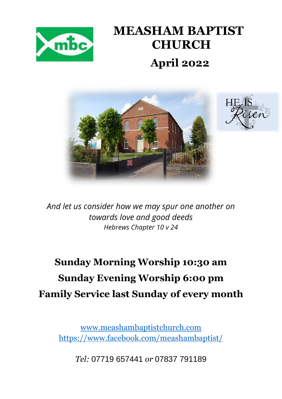

# **MEASHAM BAPTIST CHURCH April 2022**





*And let us consider how we may spur one another on towards love and good deeds Hebrews Chapter 10 v 24*

## **Sunday Morning Worship 10:30 am Sunday Evening Worship 6:00 pm Family Service last Sunday of every month**

[www.meashambaptistchurch.com](http://www.meashambaptistchurch.com/) <https://www.facebook.com/meashambaptist/>

*Tel:* 07719 657441 *or* 07837 791189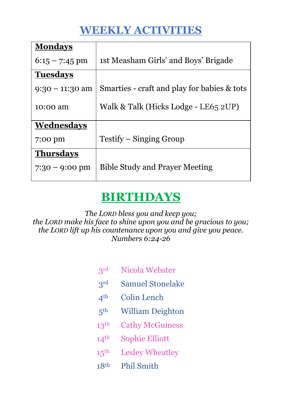## **WEEKLY ACTIVITIES**

| <b>Mondays</b>    |                                             |  |  |
|-------------------|---------------------------------------------|--|--|
| $6:15 - 7:45$ pm  | 1st Measham Girls' and Boys' Brigade        |  |  |
| <b>Tuesdays</b>   |                                             |  |  |
| $9:30 - 11:30$ am | Smarties - craft and play for babies & tots |  |  |
| 10:00 am          | Walk & Talk (Hicks Lodge - LE65 2UP)        |  |  |
| Wednesdays        |                                             |  |  |
| 7:00 pm           | Testify – Singing Group                     |  |  |
| <b>Thursdays</b>  |                                             |  |  |
| $7:30 - 9:00$ pm  | <b>Bible Study and Prayer Meeting</b>       |  |  |

## **BIRTHDAYS**

*The LORD bless you and keep you; the LORD make his face to shine upon you and be gracious to you; the LORD lift up his countenance upon you and give you peace. Numbers 6:24-26*

| 3 <sup>rd</sup>  | Nicola Webster          |
|------------------|-------------------------|
| 3 <sup>rd</sup>  | <b>Samuel Stonelake</b> |
| 4 <sup>th</sup>  | <b>Colin Lench</b>      |
| 5 <sup>th</sup>  | <b>William Deighton</b> |
| 13 <sup>th</sup> | <b>Cathy McGuiness</b>  |
| 14 <sup>th</sup> | <b>Sophie Elliott</b>   |
| 15 <sup>th</sup> | <b>Lesley Wheatley</b>  |
| 18 <sup>th</sup> | <b>Phil Smith</b>       |
|                  |                         |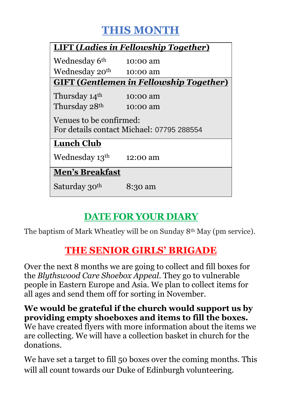## **THIS MONTH**

| <b>LIFT (Ladies in Fellowship Together)</b>                          |          |  |  |  |  |  |
|----------------------------------------------------------------------|----------|--|--|--|--|--|
| Wednesday 6 <sup>th</sup>                                            | 10:00 am |  |  |  |  |  |
| Wednesday 20 <sup>th</sup>                                           | 10:00 am |  |  |  |  |  |
| <b>GIFT (Gentlemen in Fellowship Together)</b>                       |          |  |  |  |  |  |
| Thursday 14 <sup>th</sup>                                            | 10:00 am |  |  |  |  |  |
| Thursday 28 <sup>th</sup>                                            | 10:00 am |  |  |  |  |  |
| Venues to be confirmed:<br>For details contact Michael: 07795 288554 |          |  |  |  |  |  |
| <b>Lunch Club</b>                                                    |          |  |  |  |  |  |
| Wednesday 13 <sup>th</sup>                                           | 12:00 am |  |  |  |  |  |
| <b>Men's Breakfast</b>                                               |          |  |  |  |  |  |
| Saturday 30 <sup>th</sup>                                            | 8:30 am  |  |  |  |  |  |

### **DATE FOR YOUR DIARY**

The baptism of Mark Wheatley will be on Sunday 8th May (pm service).

### **THE SENIOR GIRLS' BRIGADE**

Over the next 8 months we are going to collect and fill boxes for the *Blythswood Care Shoebox Appeal*. They go to vulnerable people in Eastern Europe and Asia. We plan to collect items for all ages and send them off for sorting in November.

#### **We would be grateful if the church would support us by providing empty shoeboxes and items to fill the boxes.**

We have created flyers with more information about the items we are collecting. We will have a collection basket in church for the donations.

We have set a target to fill 50 boxes over the coming months. This will all count towards our Duke of Edinburgh volunteering.